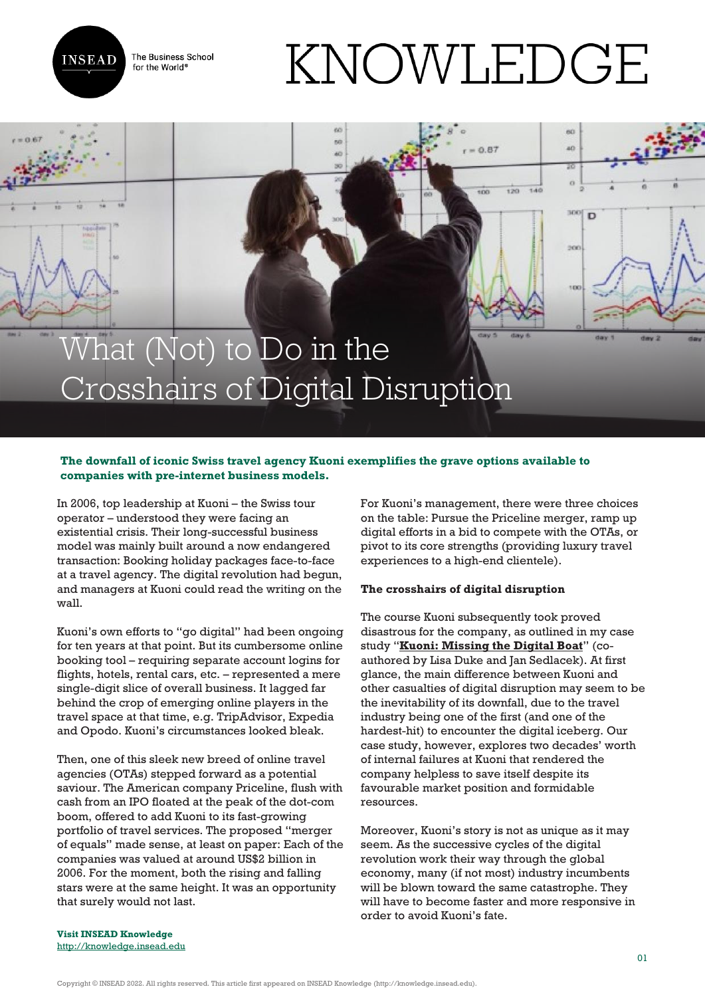

The Business School for the World<sup>®</sup>

# KNOWLEDGE

 $0.87$ 

 $\frac{1}{100}$ 

 $520$ 

 $\overline{40}$ 

300

 $\mathbf{D}$ 

# What (Not) to Do in the Crosshairs of Digital Disruption

## **The downfall of iconic Swiss travel agency Kuoni exemplifies the grave options available to companies with pre-internet business models.**

In 2006, top leadership at Kuoni – the Swiss tour operator – understood they were facing an existential crisis. Their long-successful business model was mainly built around a now endangered transaction: Booking holiday packages face-to-face at a travel agency. The digital revolution had begun, and managers at Kuoni could read the writing on the wall.

Kuoni's own efforts to "go digital" had been ongoing for ten years at that point. But its cumbersome online booking tool – requiring separate account logins for flights, hotels, rental cars, etc. – represented a mere single-digit slice of overall business. It lagged far behind the crop of emerging online players in the travel space at that time, e.g. TripAdvisor, Expedia and Opodo. Kuoni's circumstances looked bleak.

Then, one of this sleek new breed of online travel agencies (OTAs) stepped forward as a potential saviour. The American company Priceline, flush with cash from an IPO floated at the peak of the dot-com boom, offered to add Kuoni to its fast-growing portfolio of travel services. The proposed "merger of equals" made sense, at least on paper: Each of the companies was valued at around US\$2 billion in 2006. For the moment, both the rising and falling stars were at the same height. It was an opportunity that surely would not last.

For Kuoni's management, there were three choices on the table: Pursue the Priceline merger, ramp up digital efforts in a bid to compete with the OTAs, or pivot to its core strengths (providing luxury travel experiences to a high-end clientele).

### **The crosshairs of digital disruption**

The course Kuoni subsequently took proved disastrous for the company, as outlined in my case study "**[Kuoni: Missing the Digital Boat](https://cases.insead.edu/publishing/case?code=37693)**" (coauthored by Lisa Duke and Jan Sedlacek). At first glance, the main difference between Kuoni and other casualties of digital disruption may seem to be the inevitability of its downfall, due to the travel industry being one of the first (and one of the hardest-hit) to encounter the digital iceberg. Our case study, however, explores two decades' worth of internal failures at Kuoni that rendered the company helpless to save itself despite its favourable market position and formidable resources.

Moreover, Kuoni's story is not as unique as it may seem. As the successive cycles of the digital revolution work their way through the global economy, many (if not most) industry incumbents will be blown toward the same catastrophe. They will have to become faster and more responsive in order to avoid Kuoni's fate.

**Visit INSEAD Knowledge** <http://knowledge.insead.edu>

Copyright © INSEAD 2022. All rights reserved. This article first appeared on INSEAD Knowledge (http://knowledge.insead.edu).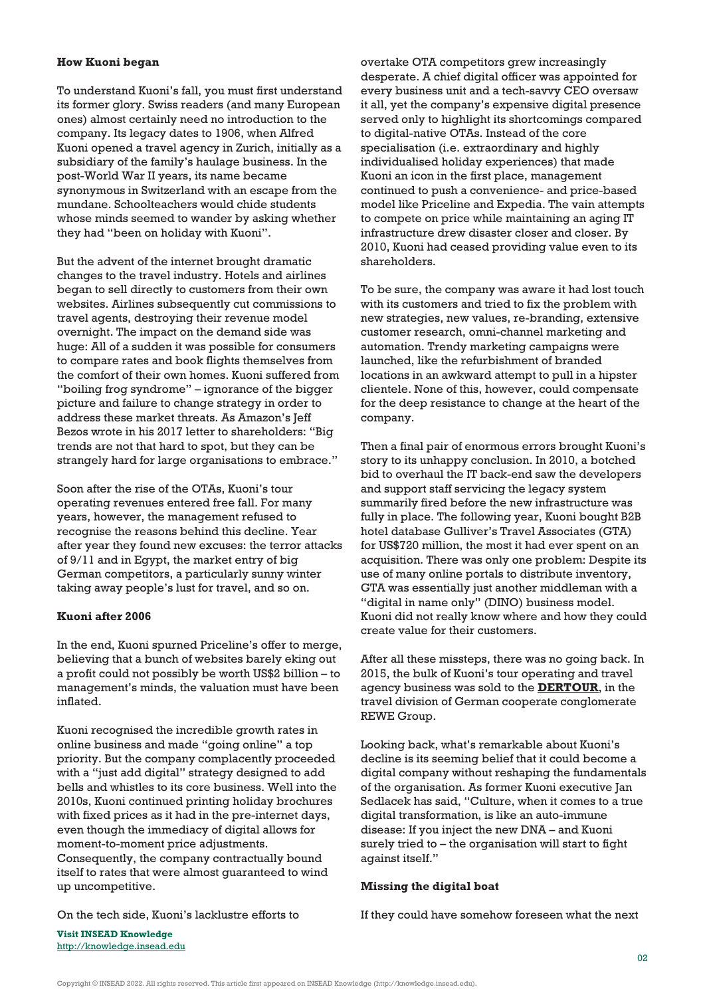#### **How Kuoni began**

To understand Kuoni's fall, you must first understand its former glory. Swiss readers (and many European ones) almost certainly need no introduction to the company. Its legacy dates to 1906, when Alfred Kuoni opened a travel agency in Zurich, initially as a subsidiary of the family's haulage business. In the post-World War II years, its name became synonymous in Switzerland with an escape from the mundane. Schoolteachers would chide students whose minds seemed to wander by asking whether they had "been on holiday with Kuoni".

But the advent of the internet brought dramatic changes to the travel industry. Hotels and airlines began to sell directly to customers from their own websites. Airlines subsequently cut commissions to travel agents, destroying their revenue model overnight. The impact on the demand side was huge: All of a sudden it was possible for consumers to compare rates and book flights themselves from the comfort of their own homes. Kuoni suffered from "boiling frog syndrome" – ignorance of the bigger picture and failure to change strategy in order to address these market threats. As Amazon's Jeff Bezos wrote in his 2017 letter to shareholders: "Big trends are not that hard to spot, but they can be strangely hard for large organisations to embrace."

Soon after the rise of the OTAs, Kuoni's tour operating revenues entered free fall. For many years, however, the management refused to recognise the reasons behind this decline. Year after year they found new excuses: the terror attacks of 9/11 and in Egypt, the market entry of big German competitors, a particularly sunny winter taking away people's lust for travel, and so on.

#### **Kuoni after 2006**

In the end, Kuoni spurned Priceline's offer to merge, believing that a bunch of websites barely eking out a profit could not possibly be worth US\$2 billion – to management's minds, the valuation must have been inflated.

Kuoni recognised the incredible growth rates in online business and made "going online" a top priority. But the company complacently proceeded with a "just add digital" strategy designed to add bells and whistles to its core business. Well into the 2010s, Kuoni continued printing holiday brochures with fixed prices as it had in the pre-internet days, even though the immediacy of digital allows for moment-to-moment price adjustments. Consequently, the company contractually bound itself to rates that were almost guaranteed to wind up uncompetitive.

On the tech side, Kuoni's lacklustre efforts to

overtake OTA competitors grew increasingly desperate. A chief digital officer was appointed for every business unit and a tech-savvy CEO oversaw it all, yet the company's expensive digital presence served only to highlight its shortcomings compared to digital-native OTAs. Instead of the core specialisation (i.e. extraordinary and highly individualised holiday experiences) that made Kuoni an icon in the first place, management continued to push a convenience- and price-based model like Priceline and Expedia. The vain attempts to compete on price while maintaining an aging IT infrastructure drew disaster closer and closer. By 2010, Kuoni had ceased providing value even to its shareholders.

To be sure, the company was aware it had lost touch with its customers and tried to fix the problem with new strategies, new values, re-branding, extensive customer research, omni-channel marketing and automation. Trendy marketing campaigns were launched, like the refurbishment of branded locations in an awkward attempt to pull in a hipster clientele. None of this, however, could compensate for the deep resistance to change at the heart of the company.

Then a final pair of enormous errors brought Kuoni's story to its unhappy conclusion. In 2010, a botched bid to overhaul the IT back-end saw the developers and support staff servicing the legacy system summarily fired before the new infrastructure was fully in place. The following year, Kuoni bought B2B hotel database Gulliver's Travel Associates (GTA) for US\$720 million, the most it had ever spent on an acquisition. There was only one problem: Despite its use of many online portals to distribute inventory, GTA was essentially just another middleman with a "digital in name only" (DINO) business model. Kuoni did not really know where and how they could create value for their customers.

After all these missteps, there was no going back. In 2015, the bulk of Kuoni's tour operating and travel agency business was sold to the **[DERTOUR](http://www.inboundreport.com/2015/07/01/rewe-group-consolidates-its-position-in-europe-with-kuoni-acquisition/)**, in the travel division of German cooperate conglomerate REWE Group.

Looking back, what's remarkable about Kuoni's decline is its seeming belief that it could become a digital company without reshaping the fundamentals of the organisation. As former Kuoni executive Jan Sedlacek has said, "Culture, when it comes to a true digital transformation, is like an auto-immune disease: If you inject the new DNA – and Kuoni surely tried to – the organisation will start to fight against itself."

#### **Missing the digital boat**

If they could have somehow foreseen what the next

**Visit INSEAD Knowledge** <http://knowledge.insead.edu>

Copyright © INSEAD 2022. All rights reserved. This article first appeared on INSEAD Knowledge (http://knowledge.insead.edu).